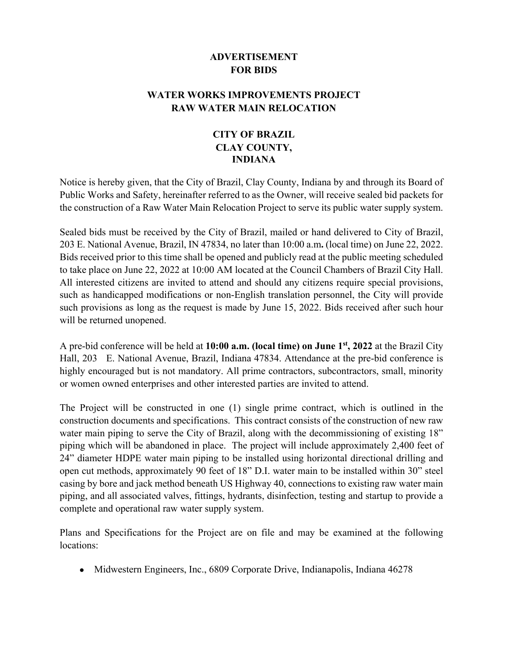## **ADVERTISEMENT FOR BIDS**

## **WATER WORKS IMPROVEMENTS PROJECT RAW WATER MAIN RELOCATION**

## **CITY OF BRAZIL CLAY COUNTY, INDIANA**

Notice is hereby given, that the City of Brazil, Clay County, Indiana by and through its Board of Public Works and Safety, hereinafter referred to as the Owner, will receive sealed bid packets for the construction of a Raw Water Main Relocation Project to serve its public water supply system.

Sealed bids must be received by the City of Brazil, mailed or hand delivered to City of Brazil, 203 E. National Avenue, Brazil, IN 47834, no later than 10:00 a.m**.** (local time) on June 22, 2022. Bids received prior to this time shall be opened and publicly read at the public meeting scheduled to take place on June 22, 2022 at 10:00 AM located at the Council Chambers of Brazil City Hall. All interested citizens are invited to attend and should any citizens require special provisions, such as handicapped modifications or non-English translation personnel, the City will provide such provisions as long as the request is made by June 15, 2022. Bids received after such hour will be returned unopened.

A pre-bid conference will be held at **10:00 a.m. (local time) on June 1st, 2022** at the Brazil City Hall, 203 E. National Avenue, Brazil, Indiana 47834. Attendance at the pre-bid conference is highly encouraged but is not mandatory. All prime contractors, subcontractors, small, minority or women owned enterprises and other interested parties are invited to attend.

The Project will be constructed in one (1) single prime contract, which is outlined in the construction documents and specifications. This contract consists of the construction of new raw water main piping to serve the City of Brazil, along with the decommissioning of existing 18" piping which will be abandoned in place. The project will include approximately 2,400 feet of 24" diameter HDPE water main piping to be installed using horizontal directional drilling and open cut methods, approximately 90 feet of 18" D.I. water main to be installed within 30" steel casing by bore and jack method beneath US Highway 40, connections to existing raw water main piping, and all associated valves, fittings, hydrants, disinfection, testing and startup to provide a complete and operational raw water supply system.

Plans and Specifications for the Project are on file and may be examined at the following locations:

• Midwestern Engineers, Inc., 6809 Corporate Drive, Indianapolis, Indiana 46278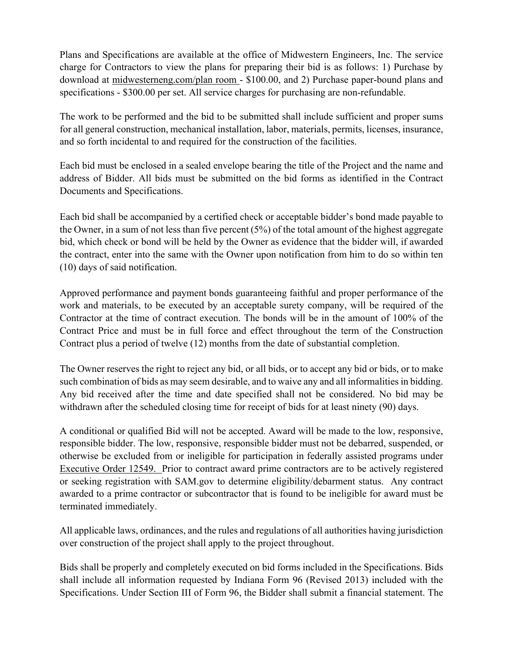Plans and Specifications are available at the office of Midwestern Engineers, Inc. The service charge for Contractors to view the plans for preparing their bid is as follows: 1) Purchase by download at midwesterneng.com/plan room - \$100.00, and 2) Purchase paper-bound plans and specifications - \$300.00 per set. All service charges for purchasing are non-refundable.

The work to be performed and the bid to be submitted shall include sufficient and proper sums for all general construction, mechanical installation, labor, materials, permits, licenses, insurance, and so forth incidental to and required for the construction of the facilities.

Each bid must be enclosed in a sealed envelope bearing the title of the Project and the name and address of Bidder. All bids must be submitted on the bid forms as identified in the Contract Documents and Specifications.

Each bid shall be accompanied by a certified check or acceptable bidder's bond made payable to the Owner, in a sum of not less than five percent (5%) of the total amount of the highest aggregate bid, which check or bond will be held by the Owner as evidence that the bidder will, if awarded the contract, enter into the same with the Owner upon notification from him to do so within ten (10) days of said notification.

Approved performance and payment bonds guaranteeing faithful and proper performance of the work and materials, to be executed by an acceptable surety company, will be required of the Contractor at the time of contract execution. The bonds will be in the amount of 100% of the Contract Price and must be in full force and effect throughout the term of the Construction Contract plus a period of twelve (12) months from the date of substantial completion.

The Owner reserves the right to reject any bid, or all bids, or to accept any bid or bids, or to make such combination of bids as may seem desirable, and to waive any and all informalities in bidding. Any bid received after the time and date specified shall not be considered. No bid may be withdrawn after the scheduled closing time for receipt of bids for at least ninety (90) days.

A conditional or qualified Bid will not be accepted. Award will be made to the low, responsive, responsible bidder. The low, responsive, responsible bidder must not be debarred, suspended, or otherwise be excluded from or ineligible for participation in federally assisted programs under Executive Order 12549. Prior to contract award prime contractors are to be actively registered or seeking registration with SAM.gov to determine eligibility/debarment status. Any contract awarded to a prime contractor or subcontractor that is found to be ineligible for award must be terminated immediately.

All applicable laws, ordinances, and the rules and regulations of all authorities having jurisdiction over construction of the project shall apply to the project throughout.

Bids shall be properly and completely executed on bid forms included in the Specifications. Bids shall include all information requested by Indiana Form 96 (Revised 2013) included with the Specifications. Under Section III of Form 96, the Bidder shall submit a financial statement. The